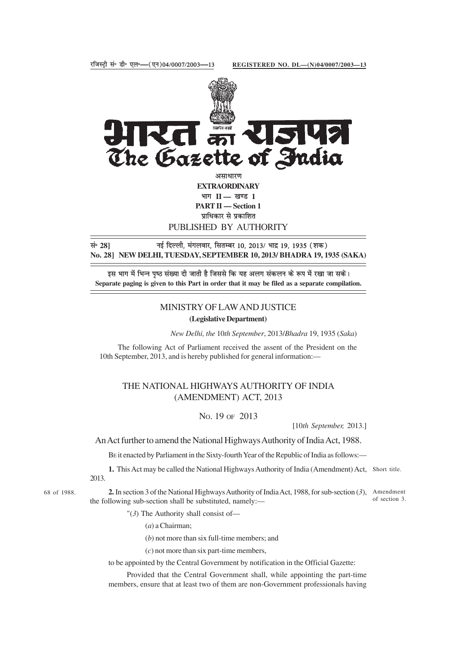

**EXTRAORDINARY** भाग II — खण्ड 1 **PART II — Section 1** प्राधिकार से प्रकाशित PUBLISHED BY AUTHORITY

lañ **28]** ubZ fnYyh] eaxyokj] flrEcj 10] 2013@ Hkknz 19] 1935 ¼'kd½ **No. 28] NEW DELHI, TUESDAY, SEPTEMBER 10, 2013/ BHADRA 19, 1935 (SAKA)**

इस भाग में भिन्न पष्ठ संख्या दी जाती है जिससे कि यह अलग संकलन के रूप में रखा जा सके। **Separate paging is given to this Part in order that it may be filed as a separate compilation.**

## MINISTRY OF LAW AND JUSTICE

**(Legislative Department)**

*New Delhi, the* 10*th September*, 2013/*Bhadra* 19, 1935 (*Saka*)

The following Act of Parliament received the assent of the President on the 10th September, 2013, and is hereby published for general information:—

## THE NATIONAL HIGHWAYS AUTHORITY OF INDIA (AMENDMENT) ACT, 2013

NO. 19 OF 2013

[10*th September,* 2013.]

An Act further to amend the National Highways Authority of India Act, 1988.

BE it enacted by Parliament in the Sixty-fourth Year of the Republic of India as follows:—

**1.** This Act may be called the National Highways Authority of India (Amendment) Act, Short title. 2013.

68 of 1988. **2.** In section 3 of the National Highways Authority of India Act, 1988, for sub-section (3), Amendment the following sub-section shall be substituted, namely: of section 3.

"(*3*) The Authority shall consist of—

(*a*) a Chairman;

(*b*) not more than six full-time members; and

(*c*) not more than six part-time members,

to be appointed by the Central Government by notification in the Official Gazette:

Provided that the Central Government shall, while appointing the part-time members, ensure that at least two of them are non-Government professionals having